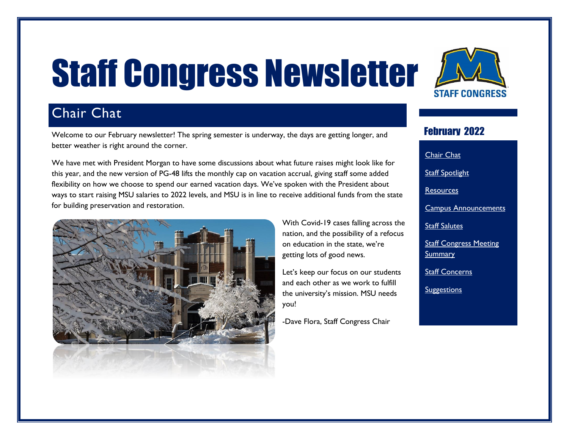# <span id="page-0-0"></span>Staff Congress Newsletter

# Chair Chat

Welcome to our February newsletter! The spring semester is underway, the days are getting longer, and better weather is right around the corner.

We have met with President Morgan to have some discussions about what future raises might look like for this year, and the new version of PG-48 lifts the monthly cap on vacation accrual, giving staff some added flexibility on how we choose to spend our earned vacation days. We've spoken with the President about ways to start raising MSU salaries to 2022 levels, and MSU is in line to receive additional funds from the state for building preservation and restoration.



With Covid-19 cases falling across the nation, and the possibility of a refocus on education in the state, we're getting lots of good news.

Let's keep our focus on our students and each other as we work to fulfill the university's mission. MSU needs you!

-Dave Flora, Staff Congress Chair



#### February 2022

[Chair Chat](#page-0-0) **Staff [Spotlight](#page-1-0)** [Resources](#page-2-0) [Campus Announcements](#page-2-1) [Staff Salutes](#page-3-0) **Staff Congress Meeting [Summary](#page-3-1)** [Staff Concerns](#page-4-0) **[Suggestions](#page-4-1)**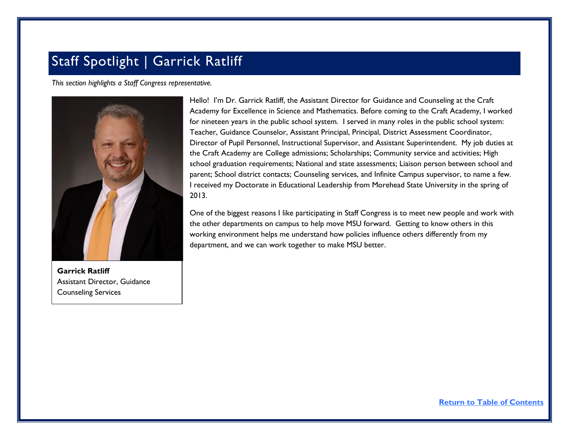## <span id="page-1-0"></span>Staff Spotlight | Garrick Ratliff

*This section highlights a Staff Congress representative.*



**Garrick Ratliff** Assistant Director, Guidance Counseling Services

Hello! I'm Dr. Garrick Ratliff, the Assistant Director for Guidance and Counseling at the Craft Academy for Excellence in Science and Mathematics. Before coming to the Craft Academy, I worked for nineteen years in the public school system. I served in many roles in the public school system: Teacher, Guidance Counselor, Assistant Principal, Principal, District Assessment Coordinator, Director of Pupil Personnel, Instructional Supervisor, and Assistant Superintendent. My job duties at the Craft Academy are College admissions; Scholarships; Community service and activities; High school graduation requirements; National and state assessments; Liaison person between school and parent; School district contacts; Counseling services, and Infinite Campus supervisor, to name a few. I received my Doctorate in Educational Leadership from Morehead State University in the spring of 2013.

One of the biggest reasons I like participating in Staff Congress is to meet new people and work with the other departments on campus to help move MSU forward. Getting to know others in this working environment helps me understand how policies influence others differently from my department, and we can work together to make MSU better.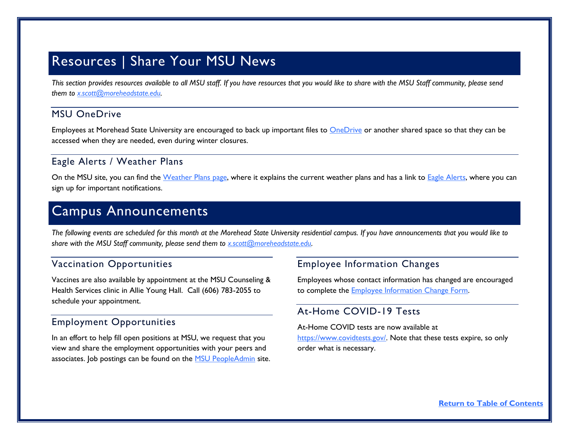## <span id="page-2-0"></span>Resources | Share Your MSU News

*This section provides resources available to all MSU staff. If you have resources that you would like to share with the MSU Staff community, please send them to [x.scott@moreheadstate.edu.](mailto:x.scott@moreheadstate.edu)* 

#### MSU OneDrive

Employees at Morehead State University are encouraged to back up important files to **OneDrive** or another shared space so that they can be accessed when they are needed, even during winter closures.

#### Eagle Alerts / Weather Plans

On the MSU site, you can find the [Weather Plans](https://www.moreheadstate.edu/administration/emergency-resources/weather-plans) page, where it explains the current weather plans and has a link to [Eagle Alerts,](https://www.moreheadstate.edu/Administration/Eagle-Alerts) where you can sign up for important notifications.

## <span id="page-2-1"></span>Campus Announcements

*The following events are scheduled for this month at the Morehead State University residential campus. If you have announcements that you would like to share with the MSU Staff community, please send them to [x.scott@moreheadstate.edu.](mailto:x.scott@moreheadstate.edu)* 

#### Vaccination Opportunities

Vaccines are also available by appointment at the MSU Counseling & Health Services clinic in Allie Young Hall. Call (606) 783-2055 to schedule your appointment.

#### Employment Opportunities

In an effort to help fill open positions at MSU, we request that you view and share the employment opportunities with your peers and associates. Job postings can be found on the **MSU PeopleAdmin** site.

#### Employee Information Changes

Employees whose contact information has changed are encouraged to complete the [Employee Information Change Form.](https://www.moreheadstate.edu/MSU/media/Human-Resources/Employee-Information-Change-Form.pdf)

#### At-Home COVID-19 Tests

At-Home COVID tests are now available at [https://www.covidtests.gov/.](https://www.covidtests.gov/) Note that these tests expire, so only order what is necessary.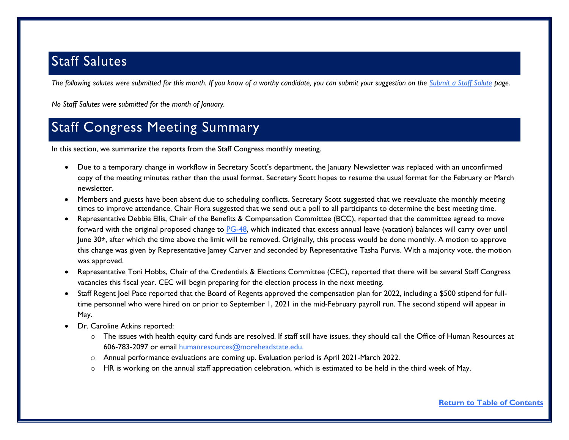## <span id="page-3-0"></span>Staff Salutes

*The following salutes were submitted for this month. If you know of a worthy candidate, you can submit your suggestion on the [Submit a Staff Salute](https://www.moreheadstate.edu/Leadership/Staff-Congress/Submit-a-Staff-Salute) page.* 

*No Staff Salutes were submitted for the month of January.*

## <span id="page-3-1"></span>Staff Congress Meeting Summary

In this section, we summarize the reports from the Staff Congress monthly meeting.

- Due to a temporary change in workflow in Secretary Scott's department, the January Newsletter was replaced with an unconfirmed copy of the meeting minutes rather than the usual format. Secretary Scott hopes to resume the usual format for the February or March newsletter.
- Members and guests have been absent due to scheduling conflicts. Secretary Scott suggested that we reevaluate the monthly meeting times to improve attendance. Chair Flora suggested that we send out a poll to all participants to determine the best meeting time.
- Representative Debbie Ellis, Chair of the Benefits & Compensation Committee (BCC), reported that the committee agreed to move forward with the original proposed change t[o PG-48,](https://www.moreheadstate.edu/administration/human-resources/personnel-policies/msu-personnel-policies/pg-48-vacation-leave) which indicated that excess annual leave (vacation) balances will carry over until June 30<sup>th</sup>, after which the time above the limit will be removed. Originally, this process would be done monthly. A motion to approve this change was given by Representative Jamey Carver and seconded by Representative Tasha Purvis. With a majority vote, the motion was approved.
- Representative Toni Hobbs, Chair of the Credentials & Elections Committee (CEC), reported that there will be several Staff Congress vacancies this fiscal year. CEC will begin preparing for the election process in the next meeting.
- Staff Regent Joel Pace reported that the Board of Regents approved the compensation plan for 2022, including a \$500 stipend for fulltime personnel who were hired on or prior to September 1, 2021 in the mid-February payroll run. The second stipend will appear in May.
- Dr. Caroline Atkins reported:
	- o The issues with health equity card funds are resolved. If staff still have issues, they should call the Office of Human Resources at 606-783-2097 or email [humanresources@moreheadstate.edu.](mailto:humanresources@moreheadstate.edu)
	- o Annual performance evaluations are coming up. Evaluation period is April 2021-March 2022.
	- $\circ$  HR is working on the annual staff appreciation celebration, which is estimated to be held in the third week of May.